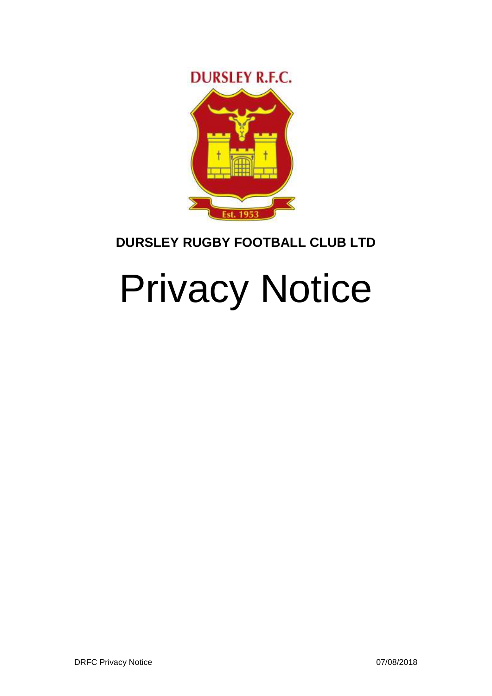

# **DURSLEY RUGBY FOOTBALL CLUB LTD**

# Privacy Notice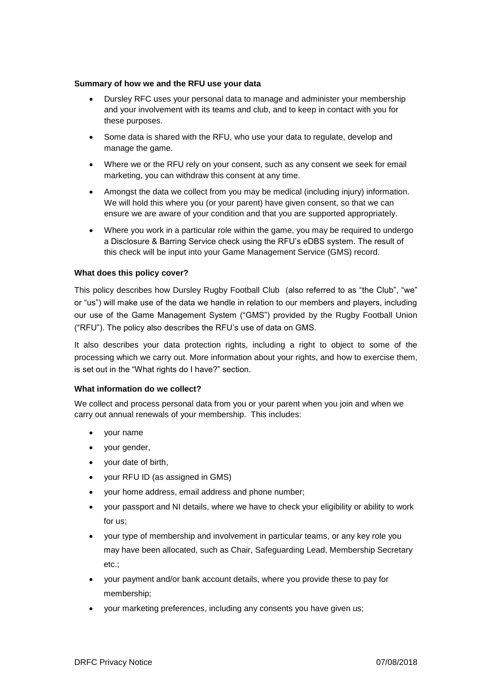# **Summary of how we and the RFU use your data**

- Dursley RFC uses your personal data to manage and administer your membership and your involvement with its teams and club, and to keep in contact with you for these purposes.
- Some data is shared with the RFU, who use your data to regulate, develop and manage the game.
- Where we or the RFU rely on your consent, such as any consent we seek for email marketing, you can withdraw this consent at any time.
- Amongst the data we collect from you may be medical (including injury) information. We will hold this where you (or your parent) have given consent, so that we can ensure we are aware of your condition and that you are supported appropriately.
- Where you work in a particular role within the game, you may be required to undergo a Disclosure & Barring Service check using the RFU's eDBS system. The result of this check will be input into your Game Management Service (GMS) record.

# **What does this policy cover?**

This policy describes how Dursley Rugby Football Club (also referred to as "the Club", "we" or "us") will make use of the data we handle in relation to our members and players, including our use of the Game Management System ("GMS") provided by the Rugby Football Union ("RFU"). The policy also describes the RFU's use of data on GMS.

It also describes your data protection rights, including a right to object to some of the processing which we carry out. More information about your rights, and how to exercise them, is set out in the "What rights do I have?" section.

# **What information do we collect?**

We collect and process personal data from you or your parent when you join and when we carry out annual renewals of your membership. This includes:

- your name
- your gender,
- your date of birth,
- your RFU ID (as assigned in GMS)
- your home address, email address and phone number;
- your passport and NI details, where we have to check your eligibility or ability to work for us;
- your type of membership and involvement in particular teams, or any key role you may have been allocated, such as Chair, Safeguarding Lead, Membership Secretary etc.;
- your payment and/or bank account details, where you provide these to pay for membership;
- your marketing preferences, including any consents you have given us;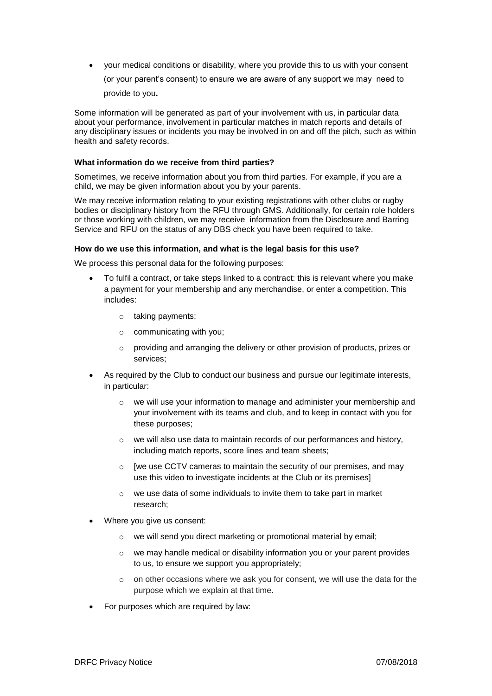• your medical conditions or disability, where you provide this to us with your consent (or your parent's consent) to ensure we are aware of any support we may need to provide to you**.**

Some information will be generated as part of your involvement with us, in particular data about your performance, involvement in particular matches in match reports and details of any disciplinary issues or incidents you may be involved in on and off the pitch, such as within health and safety records.

# **What information do we receive from third parties?**

Sometimes, we receive information about you from third parties. For example, if you are a child, we may be given information about you by your parents.

We may receive information relating to your existing registrations with other clubs or rugby bodies or disciplinary history from the RFU through GMS. Additionally, for certain role holders or those working with children, we may receive information from the Disclosure and Barring Service and RFU on the status of any DBS check you have been required to take.

# **How do we use this information, and what is the legal basis for this use?**

We process this personal data for the following purposes:

- To fulfil a contract, or take steps linked to a contract: this is relevant where you make a payment for your membership and any merchandise, or enter a competition. This includes:
	- o taking payments;
	- o communicating with you;
	- o providing and arranging the delivery or other provision of products, prizes or services;
- As required by the Club to conduct our business and pursue our legitimate interests, in particular:
	- o we will use your information to manage and administer your membership and your involvement with its teams and club, and to keep in contact with you for these purposes;
	- o we will also use data to maintain records of our performances and history, including match reports, score lines and team sheets;
	- $\circ$  [we use CCTV cameras to maintain the security of our premises, and may use this video to investigate incidents at the Club or its premises]
	- o we use data of some individuals to invite them to take part in market research;
- Where you give us consent:
	- o we will send you direct marketing or promotional material by email;
	- $\circ$  we may handle medical or disability information you or your parent provides to us, to ensure we support you appropriately;
	- $\circ$  on other occasions where we ask you for consent, we will use the data for the purpose which we explain at that time.
- For purposes which are required by law: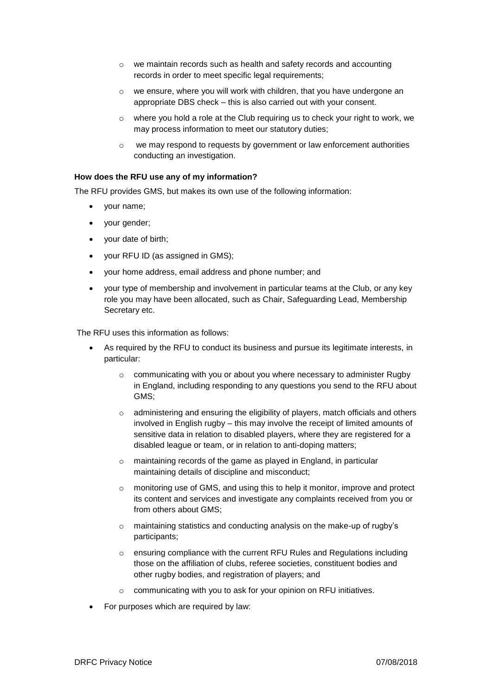- o we maintain records such as health and safety records and accounting records in order to meet specific legal requirements;
- o we ensure, where you will work with children, that you have undergone an appropriate DBS check – this is also carried out with your consent.
- $\circ$  where you hold a role at the Club requiring us to check your right to work, we may process information to meet our statutory duties;
- o we may respond to requests by government or law enforcement authorities conducting an investigation.

# **How does the RFU use any of my information?**

The RFU provides GMS, but makes its own use of the following information:

- your name;
- your gender;
- your date of birth;
- your RFU ID (as assigned in GMS);
- your home address, email address and phone number; and
- your type of membership and involvement in particular teams at the Club, or any key role you may have been allocated, such as Chair, Safeguarding Lead, Membership Secretary etc.

The RFU uses this information as follows:

- As required by the RFU to conduct its business and pursue its legitimate interests, in particular:
	- o communicating with you or about you where necessary to administer Rugby in England, including responding to any questions you send to the RFU about GMS;
	- $\circ$  administering and ensuring the eligibility of players, match officials and others involved in English rugby – this may involve the receipt of limited amounts of sensitive data in relation to disabled players, where they are registered for a disabled league or team, or in relation to anti-doping matters;
	- $\circ$  maintaining records of the game as played in England, in particular maintaining details of discipline and misconduct;
	- o monitoring use of GMS, and using this to help it monitor, improve and protect its content and services and investigate any complaints received from you or from others about GMS;
	- o maintaining statistics and conducting analysis on the make-up of rugby's participants;
	- o ensuring compliance with the current RFU Rules and Regulations including those on the affiliation of clubs, referee societies, constituent bodies and other rugby bodies, and registration of players; and
	- o communicating with you to ask for your opinion on RFU initiatives.
- For purposes which are required by law: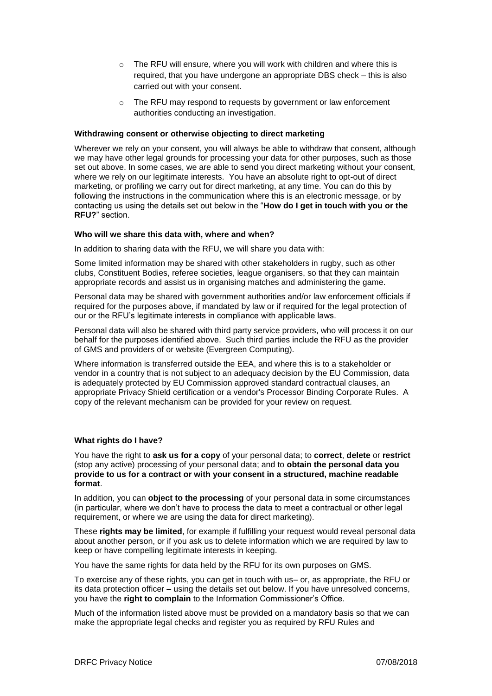- o The RFU will ensure, where you will work with children and where this is required, that you have undergone an appropriate DBS check – this is also carried out with your consent.
- o The RFU may respond to requests by government or law enforcement authorities conducting an investigation.

#### **Withdrawing consent or otherwise objecting to direct marketing**

Wherever we rely on your consent, you will always be able to withdraw that consent, although we may have other legal grounds for processing your data for other purposes, such as those set out above. In some cases, we are able to send you direct marketing without your consent, where we rely on our legitimate interests. You have an absolute right to opt-out of direct marketing, or profiling we carry out for direct marketing, at any time. You can do this by following the instructions in the communication where this is an electronic message, or by contacting us using the details set out below in the "**How do I get in touch with you or the RFU?**" section.

# **Who will we share this data with, where and when?**

In addition to sharing data with the RFU, we will share you data with:

Some limited information may be shared with other stakeholders in rugby, such as other clubs, Constituent Bodies, referee societies, league organisers, so that they can maintain appropriate records and assist us in organising matches and administering the game.

Personal data may be shared with government authorities and/or law enforcement officials if required for the purposes above, if mandated by law or if required for the legal protection of our or the RFU's legitimate interests in compliance with applicable laws.

Personal data will also be shared with third party service providers, who will process it on our behalf for the purposes identified above. Such third parties include the RFU as the provider of GMS and providers of or website (Evergreen Computing).

Where information is transferred outside the EEA, and where this is to a stakeholder or vendor in a country that is not subject to an adequacy decision by the EU Commission, data is adequately protected by EU Commission approved standard contractual clauses, an appropriate Privacy Shield certification or a vendor's Processor Binding Corporate Rules. A copy of the relevant mechanism can be provided for your review on request.

# **What rights do I have?**

You have the right to **ask us for a copy** of your personal data; to **correct**, **delete** or **restrict** (stop any active) processing of your personal data; and to **obtain the personal data you provide to us for a contract or with your consent in a structured, machine readable format**.

In addition, you can **object to the processing** of your personal data in some circumstances (in particular, where we don't have to process the data to meet a contractual or other legal requirement, or where we are using the data for direct marketing).

These **rights may be limited**, for example if fulfilling your request would reveal personal data about another person, or if you ask us to delete information which we are required by law to keep or have compelling legitimate interests in keeping.

You have the same rights for data held by the RFU for its own purposes on GMS.

To exercise any of these rights, you can get in touch with us– or, as appropriate, the RFU or its data protection officer – using the details set out below. If you have unresolved concerns, you have the **right to complain** to the Information Commissioner's Office.

Much of the information listed above must be provided on a mandatory basis so that we can make the appropriate legal checks and register you as required by RFU Rules and